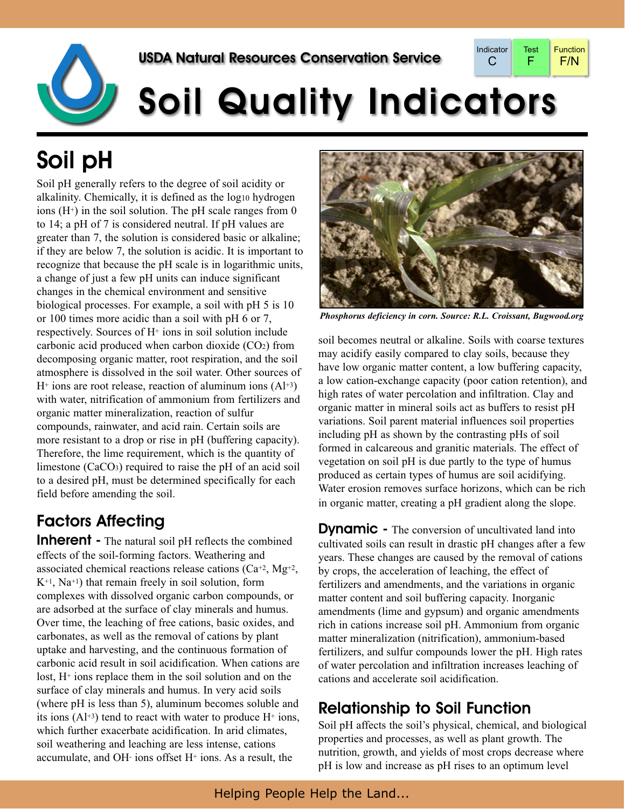

# **Soil Quality Indicators**

# Soil pH

Soil pH generally refers to the degree of soil acidity or alkalinity. Chemically, it is defined as the log10 hydrogen ions  $(H<sup>+</sup>)$  in the soil solution. The pH scale ranges from 0 to 14; a pH of 7 is considered neutral. If pH values are greater than 7, the solution is considered basic or alkaline; if they are below 7, the solution is acidic. It is important to recognize that because the pH scale is in logarithmic units, a change of just a few pH units can induce significant changes in the chemical environment and sensitive biological processes. For example, a soil with pH 5 is 10 or 100 times more acidic than a soil with pH 6 or 7, respectively. Sources of H+ ions in soil solution include carbonic acid produced when carbon dioxide  $(CO<sub>2</sub>)$  from decomposing organic matter, root respiration, and the soil atmosphere is dissolved in the soil water. Other sources of  $H^+$  ions are root release, reaction of aluminum ions  $(AI^+3)$ with water, nitrification of ammonium from fertilizers and organic matter mineralization, reaction of sulfur compounds, rainwater, and acid rain. Certain soils are more resistant to a drop or rise in pH (buffering capacity). Therefore, the lime requirement, which is the quantity of limestone (CaCO3) required to raise the pH of an acid soil to a desired pH, must be determined specifically for each field before amending the soil.

## Factors Affecting

**Inherent** - The natural soil pH reflects the combined effects of the soil-forming factors. Weathering and associated chemical reactions release cations  $(Ca^{+2}, Mg^{+2})$ ,  $K^{+1}$ , Na<sup>+1</sup>) that remain freely in soil solution, form complexes with dissolved organic carbon compounds, or are adsorbed at the surface of clay minerals and humus. Over time, the leaching of free cations, basic oxides, and carbonates, as well as the removal of cations by plant uptake and harvesting, and the continuous formation of carbonic acid result in soil acidification. When cations are lost, H+ ions replace them in the soil solution and on the surface of clay minerals and humus. In very acid soils (where pH is less than 5), aluminum becomes soluble and its ions  $(A^{+3})$  tend to react with water to produce  $H^+$  ions, which further exacerbate acidification. In arid climates, soil weathering and leaching are less intense, cations accumulate, and OH- ions offset H+ ions. As a result, the



*Phosphorus deficiency in corn. Source: R.L. Croissant, Bugwood.org*

soil becomes neutral or alkaline. Soils with coarse textures may acidify easily compared to clay soils, because they have low organic matter content, a low buffering capacity, a low cation-exchange capacity (poor cation retention), and high rates of water percolation and infiltration. Clay and organic matter in mineral soils act as buffers to resist pH variations. Soil parent material influences soil properties including pH as shown by the contrasting pHs of soil formed in calcareous and granitic materials. The effect of vegetation on soil pH is due partly to the type of humus produced as certain types of humus are soil acidifying. Water erosion removes surface horizons, which can be rich in organic matter, creating a pH gradient along the slope.

**Dynamic** - The conversion of uncultivated land into cultivated soils can result in drastic pH changes after a few years. These changes are caused by the removal of cations by crops, the acceleration of leaching, the effect of fertilizers and amendments, and the variations in organic matter content and soil buffering capacity. Inorganic amendments (lime and gypsum) and organic amendments rich in cations increase soil pH. Ammonium from organic matter mineralization (nitrification), ammonium-based fertilizers, and sulfur compounds lower the pH. High rates of water percolation and infiltration increases leaching of cations and accelerate soil acidification.

### Relationship to Soil Function

Soil pH affects the soil's physical, chemical, and biological properties and processes, as well as plant growth. The nutrition, growth, and yields of most crops decrease where pH is low and increase as pH rises to an optimum level